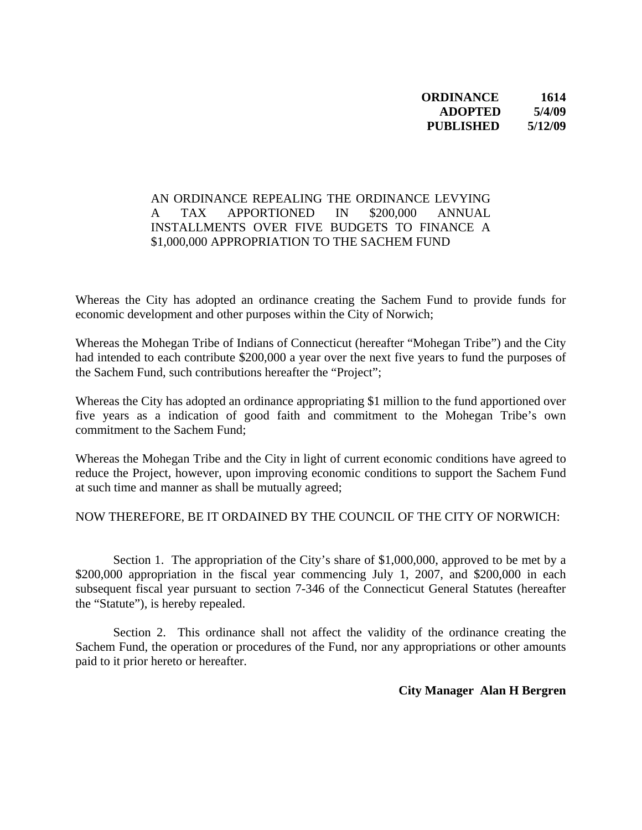## **ORDINANCE 1614 ADOPTED 5/4/09 PUBLISHED 5/12/09**

## AN ORDINANCE REPEALING THE ORDINANCE LEVYING A TAX APPORTIONED IN \$200,000 ANNUAL INSTALLMENTS OVER FIVE BUDGETS TO FINANCE A \$1,000,000 APPROPRIATION TO THE SACHEM FUND

Whereas the City has adopted an ordinance creating the Sachem Fund to provide funds for economic development and other purposes within the City of Norwich;

Whereas the Mohegan Tribe of Indians of Connecticut (hereafter "Mohegan Tribe") and the City had intended to each contribute \$200,000 a year over the next five years to fund the purposes of the Sachem Fund, such contributions hereafter the "Project";

Whereas the City has adopted an ordinance appropriating \$1 million to the fund apportioned over five years as a indication of good faith and commitment to the Mohegan Tribe's own commitment to the Sachem Fund;

Whereas the Mohegan Tribe and the City in light of current economic conditions have agreed to reduce the Project, however, upon improving economic conditions to support the Sachem Fund at such time and manner as shall be mutually agreed;

## NOW THEREFORE, BE IT ORDAINED BY THE COUNCIL OF THE CITY OF NORWICH:

 Section 1. The appropriation of the City's share of \$1,000,000, approved to be met by a \$200,000 appropriation in the fiscal year commencing July 1, 2007, and \$200,000 in each subsequent fiscal year pursuant to section 7-346 of the Connecticut General Statutes (hereafter the "Statute"), is hereby repealed.

Section 2. This ordinance shall not affect the validity of the ordinance creating the Sachem Fund, the operation or procedures of the Fund, nor any appropriations or other amounts paid to it prior hereto or hereafter.

**City Manager Alan H Bergren**